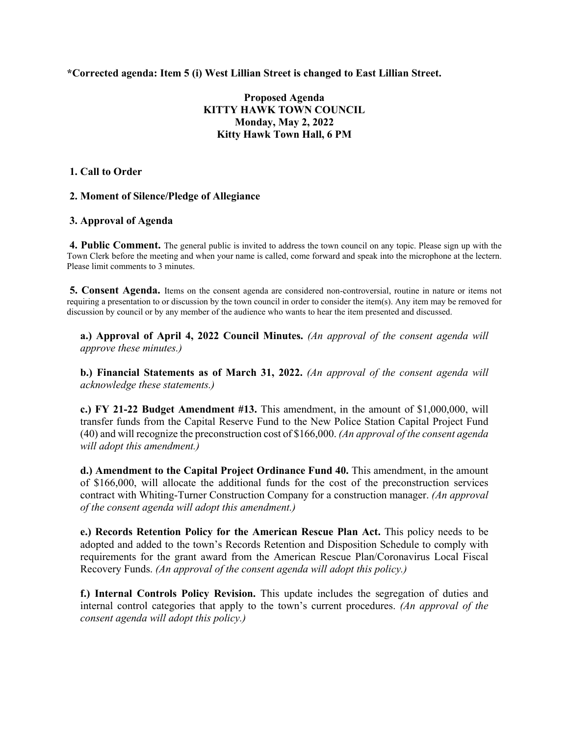**\*Corrected agenda: Item 5 (i) West Lillian Street is changed to East Lillian Street.**

# **Proposed Agenda KITTY HAWK TOWN COUNCIL Monday, May 2, 2022 Kitty Hawk Town Hall, 6 PM**

### **1. Call to Order**

# **2. Moment of Silence/Pledge of Allegiance**

### **3. Approval of Agenda**

**4. Public Comment.** The general public is invited to address the town council on any topic. Please sign up with the Town Clerk before the meeting and when your name is called, come forward and speak into the microphone at the lectern. Please limit comments to 3 minutes.

**5. Consent Agenda.** Items on the consent agenda are considered non-controversial, routine in nature or items not requiring a presentation to or discussion by the town council in order to consider the item(s). Any item may be removed for discussion by council or by any member of the audience who wants to hear the item presented and discussed.

**a.) Approval of April 4, 2022 Council Minutes.** *(An approval of the consent agenda will approve these minutes.)* 

**b.) Financial Statements as of March 31, 2022.** *(An approval of the consent agenda will acknowledge these statements.)* 

**c.) FY 21-22 Budget Amendment #13.** This amendment, in the amount of \$1,000,000, will transfer funds from the Capital Reserve Fund to the New Police Station Capital Project Fund (40) and will recognize the preconstruction cost of \$166,000. *(An approval of the consent agenda will adopt this amendment.)*

**d.) Amendment to the Capital Project Ordinance Fund 40.** This amendment, in the amount of \$166,000, will allocate the additional funds for the cost of the preconstruction services contract with Whiting-Turner Construction Company for a construction manager. *(An approval of the consent agenda will adopt this amendment.)*

**e.) Records Retention Policy for the American Rescue Plan Act.** This policy needs to be adopted and added to the town's Records Retention and Disposition Schedule to comply with requirements for the grant award from the American Rescue Plan/Coronavirus Local Fiscal Recovery Funds. *(An approval of the consent agenda will adopt this policy.)* 

**f.) Internal Controls Policy Revision.** This update includes the segregation of duties and internal control categories that apply to the town's current procedures. *(An approval of the consent agenda will adopt this policy.)*